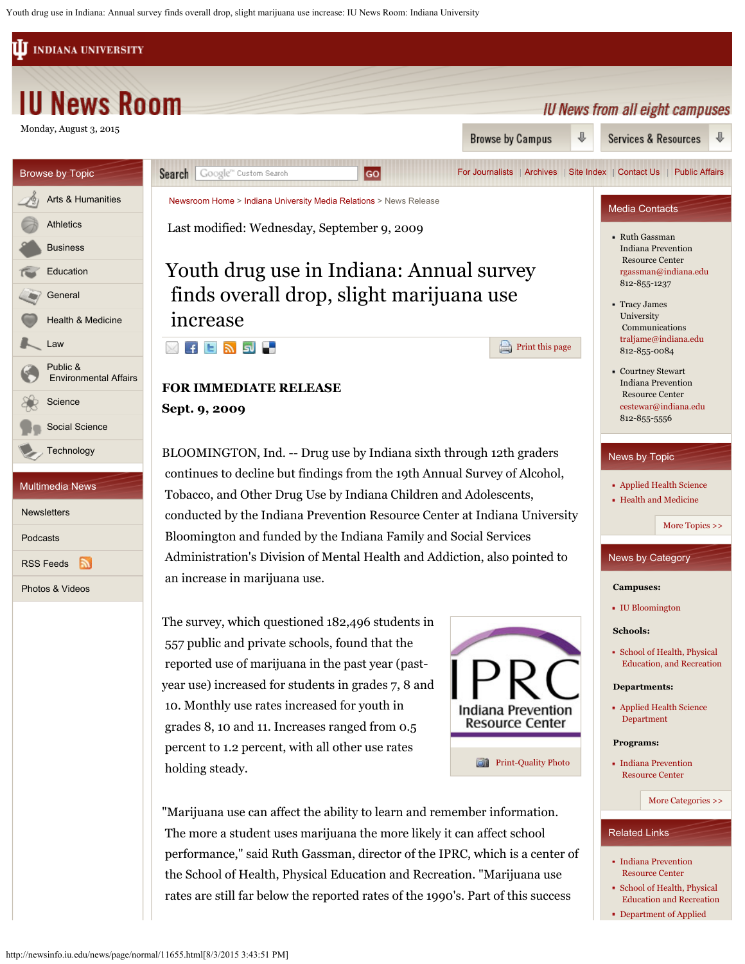Youth drug use in Indiana: Annual survey finds overall drop, slight marijuana use increase: IU News Room: Indiana University

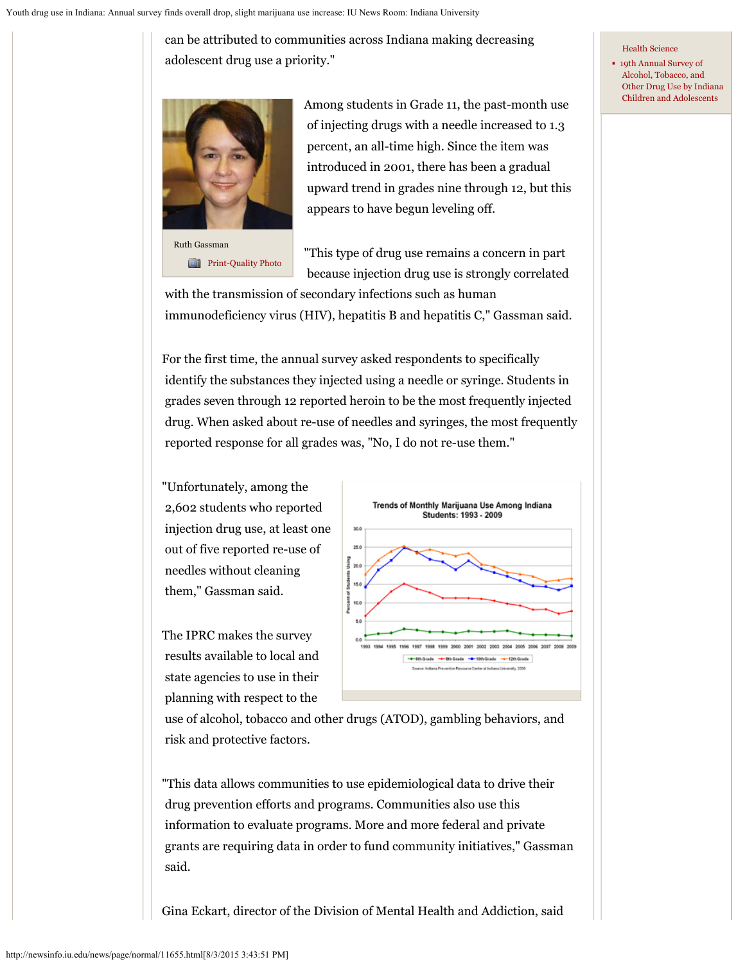can be attributed to communities across Indiana making decreasing adolescent drug use a priority."



Ruth Gassman **[Print-Quality Photo](http://newsinfo.iu.edu/asset/page/normal/5322.html)**  Among students in Grade 11, the past-month use of injecting drugs with a needle increased to 1.3 percent, an all-time high. Since the item was introduced in 2001, there has been a gradual upward trend in grades nine through 12, but this appears to have begun leveling off.

"This type of drug use remains a concern in part because injection drug use is strongly correlated

 with the transmission of secondary infections such as human immunodeficiency virus (HIV), hepatitis B and hepatitis C," Gassman said.

For the first time, the annual survey asked respondents to specifically identify the substances they injected using a needle or syringe. Students in grades seven through 12 reported heroin to be the most frequently injected drug. When asked about re-use of needles and syringes, the most frequently reported response for all grades was, "No, I do not re-use them."

"Unfortunately, among the 2,602 students who reported injection drug use, at least one out of five reported re-use of needles without cleaning them," Gassman said.

The IPRC makes the survey results available to local and state agencies to use in their planning with respect to the



 use of alcohol, tobacco and other drugs (ATOD), gambling behaviors, and risk and protective factors.

"This data allows communities to use epidemiological data to drive their drug prevention efforts and programs. Communities also use this information to evaluate programs. More and more federal and private grants are requiring data in order to fund community initiatives," Gassman said.

Gina Eckart, director of the Division of Mental Health and Addiction, said

## [Health Science](http://www.indiana.edu/%7Eaphealth/)

[19th Annual Survey of](http://www.drugs.indiana.edu/)  [Alcohol, Tobacco, and](http://www.drugs.indiana.edu/)  [Other Drug Use by Indiana](http://www.drugs.indiana.edu/)  [Children and Adolescents](http://www.drugs.indiana.edu/)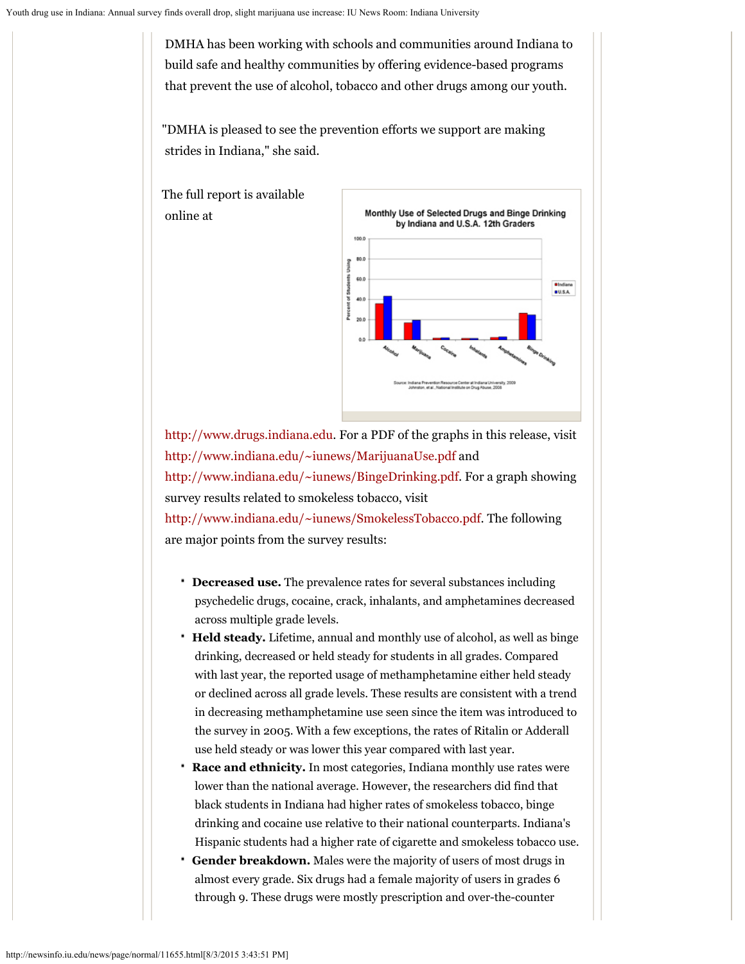DMHA has been working with schools and communities around Indiana to build safe and healthy communities by offering evidence-based programs that prevent the use of alcohol, tobacco and other drugs among our youth.

"DMHA is pleased to see the prevention efforts we support are making strides in Indiana," she said.





[http://www.drugs.indiana.edu](http://www.drugs.indiana.edu/). For a PDF of the graphs in this release, visit [http://www.indiana.edu/~iunews/MarijuanaUse.pdf](http://www.indiana.edu/%7Eiunews/MarijuanaUse.pdf) and

[http://www.indiana.edu/~iunews/BingeDrinking.pdf](http://www.indiana.edu/%7Eiunews/BingeDrinking.pdf). For a graph showing survey results related to smokeless tobacco, visit

[http://www.indiana.edu/~iunews/SmokelessTobacco.pdf](http://www.indiana.edu/%7Eiunews/SmokelessTobacco.pdf). The following are major points from the survey results:

- **Decreased use.** The prevalence rates for several substances including psychedelic drugs, cocaine, crack, inhalants, and amphetamines decreased across multiple grade levels.
- **Held steady.** Lifetime, annual and monthly use of alcohol, as well as binge drinking, decreased or held steady for students in all grades. Compared with last year, the reported usage of methamphetamine either held steady or declined across all grade levels. These results are consistent with a trend in decreasing methamphetamine use seen since the item was introduced to the survey in 2005. With a few exceptions, the rates of Ritalin or Adderall use held steady or was lower this year compared with last year.
- **Race and ethnicity.** In most categories, Indiana monthly use rates were lower than the national average. However, the researchers did find that black students in Indiana had higher rates of smokeless tobacco, binge drinking and cocaine use relative to their national counterparts. Indiana's Hispanic students had a higher rate of cigarette and smokeless tobacco use.
- **Gender breakdown.** Males were the majority of users of most drugs in almost every grade. Six drugs had a female majority of users in grades 6 through 9. These drugs were mostly prescription and over-the-counter